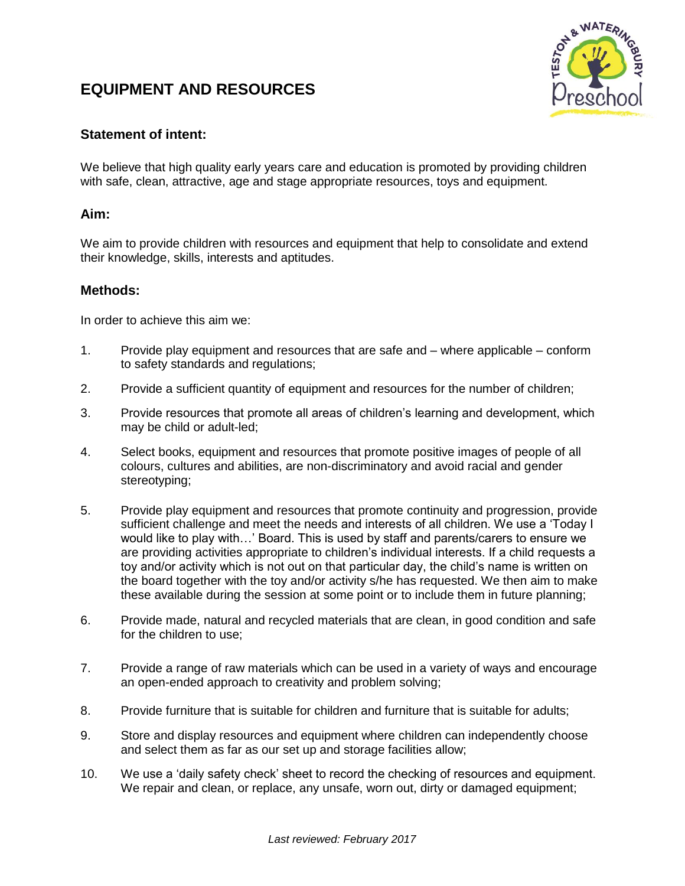## **EQUIPMENT AND RESOURCES**



## **Statement of intent:**

We believe that high quality early years care and education is promoted by providing children with safe, clean, attractive, age and stage appropriate resources, toys and equipment.

## **Aim:**

We aim to provide children with resources and equipment that help to consolidate and extend their knowledge, skills, interests and aptitudes.

## **Methods:**

In order to achieve this aim we:

- 1. Provide play equipment and resources that are safe and where applicable conform to safety standards and regulations;
- 2. Provide a sufficient quantity of equipment and resources for the number of children;
- 3. Provide resources that promote all areas of children's learning and development, which may be child or adult-led;
- 4. Select books, equipment and resources that promote positive images of people of all colours, cultures and abilities, are non-discriminatory and avoid racial and gender stereotyping;
- 5. Provide play equipment and resources that promote continuity and progression, provide sufficient challenge and meet the needs and interests of all children. We use a 'Today I would like to play with…' Board. This is used by staff and parents/carers to ensure we are providing activities appropriate to children's individual interests. If a child requests a toy and/or activity which is not out on that particular day, the child's name is written on the board together with the toy and/or activity s/he has requested. We then aim to make these available during the session at some point or to include them in future planning;
- 6. Provide made, natural and recycled materials that are clean, in good condition and safe for the children to use;
- 7. Provide a range of raw materials which can be used in a variety of ways and encourage an open-ended approach to creativity and problem solving;
- 8. Provide furniture that is suitable for children and furniture that is suitable for adults;
- 9. Store and display resources and equipment where children can independently choose and select them as far as our set up and storage facilities allow;
- 10. We use a 'daily safety check' sheet to record the checking of resources and equipment. We repair and clean, or replace, any unsafe, worn out, dirty or damaged equipment;